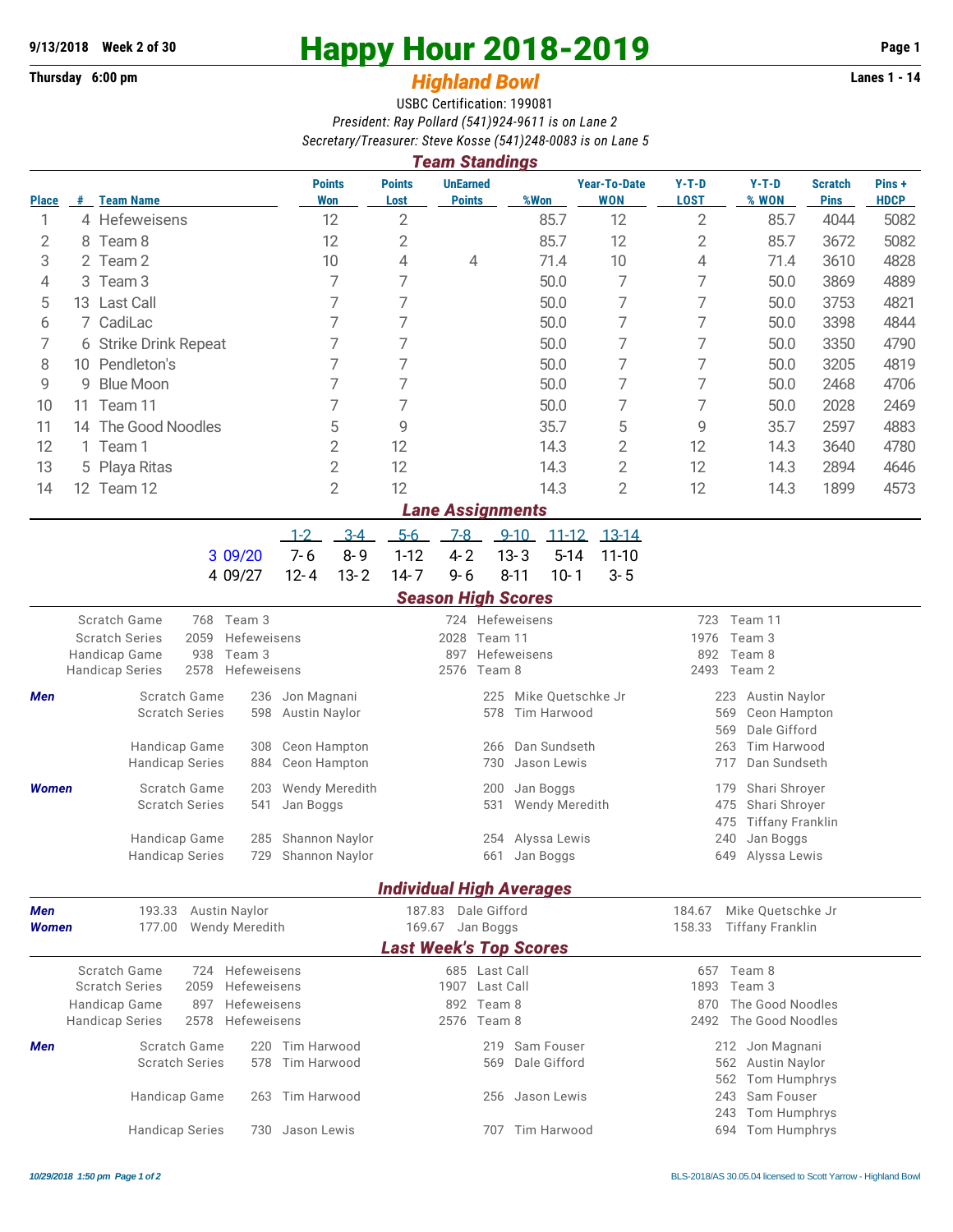## **Thursday 6:00 pm** *Highland Bowl*

# 9/13/2018 Week 2 of 30<br>
Thursday 6:00 pm<br> **Happy Hour 2018-2019** Page 1<br> **Highland Rowl**

### USBC Certification: 199081 *President: Ray Pollard (541)924-9611 is on Lane 2 Secretary/Treasurer: Steve Kosse (541)248-0083 is on Lane 5*

| <b>UnEarned</b><br><b>Points</b><br><b>Points</b><br><b>Year-To-Date</b><br>$Y-T-D$<br>$Y-T-D$<br>Pins+<br><b>Scratch</b><br><b>Won</b><br><b>WON</b><br><b>LOST</b><br>% WON<br><b>Pins</b><br><b>HDCP</b><br># Team Name<br>Lost<br><b>Points</b><br>%Won<br><b>Place</b><br>$\overline{2}$<br>12<br>$\overline{2}$<br>4 Hefeweisens<br>12<br>85.7<br>85.7<br>4044<br>5082<br>1<br>12<br>2<br>85.7<br>12<br>$\mathbf{2}$<br>85.7<br>5082<br>2<br>8 Team 8<br>3672<br>10<br>3<br>10<br>4<br>4<br>71.4<br>3610<br>4828<br>2 Team 2<br>4<br>71.4<br>$\overline{7}$<br>7<br>7<br>7<br>50.0<br>50.0<br>3869<br>4889<br>4<br>3 Team 3<br>7<br>7<br>7<br>7<br>5<br>13 Last Call<br>50.0<br>50.0<br>3753<br>4821<br>7<br>7<br>7<br>7<br>7 CadiLac<br>50.0<br>50.0<br>3398<br>4844<br>6<br>7<br>7<br>7<br>7<br>50.0<br>7<br>50.0<br>3350<br>4790<br>6 Strike Drink Repeat<br>7<br>7<br>7<br>7<br>10 Pendleton's<br>50.0<br>50.0<br>3205<br>4819<br>8<br>7<br>7<br>7<br>7<br>9<br>50.0<br>50.0<br>2468<br>4706<br><b>Blue Moon</b><br>9<br>7<br>7<br>7<br>50.0<br>7<br>50.0<br>2028<br>2469<br>10<br>Team 11<br>11<br>5<br>14 The Good Noodles<br>9<br>35.7<br>5<br>9<br>35.7<br>2597<br>4883<br>11<br>12<br>2<br>12<br>14.3<br>2<br>12<br>3640<br>4780<br>1 Team 1<br>14.3<br>$\overline{2}$<br>13<br>5 Playa Ritas<br>12<br>14.3<br>2<br>12<br>14.3<br>2894<br>4646<br>$\overline{2}$<br>$\overline{2}$<br>12<br>14.3<br>12<br>1899<br>4573<br>14<br>12 Team 12<br>14.3<br><b>Lane Assignments</b><br>$3-4$<br>$5-6$<br>$7-8$<br>$1 - 2$<br>$9 - 10$<br>$11 - 12$<br>$13 - 14$<br>$7 - 6$<br>$8 - 9$<br>$1 - 12$<br>$4 - 2$<br>$13 - 3$<br>$5 - 14$<br>3 09/20<br>$11 - 10$<br>$13 - 2$<br>$14 - 7$<br>$9 - 6$<br>$10 - 1$<br>$3 - 5$<br>$12 - 4$<br>$8 - 11$<br>4 09/27<br><b>Season High Scores</b><br>Scratch Game<br>Team 3<br>724 Hefeweisens<br>Team 11<br>768<br>723<br><b>Scratch Series</b><br>2059<br>Hefeweisens<br>2028<br>Team 11<br>Team 3<br>1976<br>938<br>Team 3<br>Hefeweisens<br>Team 8<br>Handicap Game<br>897<br>892<br>2578<br>2493 Team 2<br>Hefeweisens<br>2576<br>Team 8<br><b>Handicap Series</b><br>Scratch Game<br>Jon Magnani<br>Mike Quetschke Jr<br>Men<br>236<br>225<br>223<br>Austin Naylor<br><b>Scratch Series</b><br>Austin Naylor<br>Tim Harwood<br>569<br>Ceon Hampton<br>598<br>578<br>Dale Gifford<br>569<br>Dan Sundseth<br>Handicap Game<br>Ceon Hampton<br>263<br>Tim Harwood<br>308<br>266<br><b>Handicap Series</b><br>Ceon Hampton<br>Jason Lewis<br>717<br>Dan Sundseth<br>884<br>730<br>Scratch Game<br>Wendy Meredith<br>Jan Boggs<br>Shari Shroyer<br><b>Women</b><br>203<br>200<br>179<br><b>Scratch Series</b><br>475<br>Shari Shroyer<br>541<br>Jan Boggs<br>531<br><b>Wendy Meredith</b><br>475<br><b>Tiffany Franklin</b><br>285 Shannon Naylor<br>254 Alyssa Lewis<br>240<br>Handicap Game<br>Jan Boggs<br><b>Handicap Series</b><br>729 Shannon Naylor<br>661 Jan Boggs<br>649 Alyssa Lewis<br><b>Individual High Averages</b><br>193.33 Austin Naylor<br>187.83 Dale Gifford<br>Mike Quetschke Jr<br>Men<br>184.67<br><b>Tiffany Franklin</b><br>177.00<br><b>Wendy Meredith</b><br>169.67 Jan Boggs<br>158.33<br>Women<br><b>Last Week's Top Scores</b><br>685 Last Call<br>Scratch Game<br>724<br>Hefeweisens<br>657 Team 8<br><b>Scratch Series</b><br>2059<br>Hefeweisens<br>1907 Last Call<br>1893<br>Team 3<br>Hefeweisens<br>892 Team 8<br>The Good Noodles<br>Handicap Game<br>897<br>870 |  | <b>Team Standings</b> |                        |  |             |  |     |  |  |  |                 |  |                  |  |  |  |  |  |
|-------------------------------------------------------------------------------------------------------------------------------------------------------------------------------------------------------------------------------------------------------------------------------------------------------------------------------------------------------------------------------------------------------------------------------------------------------------------------------------------------------------------------------------------------------------------------------------------------------------------------------------------------------------------------------------------------------------------------------------------------------------------------------------------------------------------------------------------------------------------------------------------------------------------------------------------------------------------------------------------------------------------------------------------------------------------------------------------------------------------------------------------------------------------------------------------------------------------------------------------------------------------------------------------------------------------------------------------------------------------------------------------------------------------------------------------------------------------------------------------------------------------------------------------------------------------------------------------------------------------------------------------------------------------------------------------------------------------------------------------------------------------------------------------------------------------------------------------------------------------------------------------------------------------------------------------------------------------------------------------------------------------------------------------------------------------------------------------------------------------------------------------------------------------------------------------------------------------------------------------------------------------------------------------------------------------------------------------------------------------------------------------------------------------------------------------------------------------------------------------------------------------------------------------------------------------------------------------------------------------------------------------------------------------------------------------------------------------------------------------------------------------------------------------------------------------------------------------------------------------------------------------------------------------------------------------------------------------------------------------------------------------------------------------------------------------------------------------------------------------------------------------------------------------------------------------------------------------------------------------------------------------------------------------------------------------------------------------------------------------------------------------------------------------------------------------------------|--|-----------------------|------------------------|--|-------------|--|-----|--|--|--|-----------------|--|------------------|--|--|--|--|--|
|                                                                                                                                                                                                                                                                                                                                                                                                                                                                                                                                                                                                                                                                                                                                                                                                                                                                                                                                                                                                                                                                                                                                                                                                                                                                                                                                                                                                                                                                                                                                                                                                                                                                                                                                                                                                                                                                                                                                                                                                                                                                                                                                                                                                                                                                                                                                                                                                                                                                                                                                                                                                                                                                                                                                                                                                                                                                                                                                                                                                                                                                                                                                                                                                                                                                                                                                                                                                                                                       |  |                       |                        |  |             |  |     |  |  |  |                 |  |                  |  |  |  |  |  |
|                                                                                                                                                                                                                                                                                                                                                                                                                                                                                                                                                                                                                                                                                                                                                                                                                                                                                                                                                                                                                                                                                                                                                                                                                                                                                                                                                                                                                                                                                                                                                                                                                                                                                                                                                                                                                                                                                                                                                                                                                                                                                                                                                                                                                                                                                                                                                                                                                                                                                                                                                                                                                                                                                                                                                                                                                                                                                                                                                                                                                                                                                                                                                                                                                                                                                                                                                                                                                                                       |  |                       |                        |  |             |  |     |  |  |  |                 |  |                  |  |  |  |  |  |
|                                                                                                                                                                                                                                                                                                                                                                                                                                                                                                                                                                                                                                                                                                                                                                                                                                                                                                                                                                                                                                                                                                                                                                                                                                                                                                                                                                                                                                                                                                                                                                                                                                                                                                                                                                                                                                                                                                                                                                                                                                                                                                                                                                                                                                                                                                                                                                                                                                                                                                                                                                                                                                                                                                                                                                                                                                                                                                                                                                                                                                                                                                                                                                                                                                                                                                                                                                                                                                                       |  |                       |                        |  |             |  |     |  |  |  |                 |  |                  |  |  |  |  |  |
|                                                                                                                                                                                                                                                                                                                                                                                                                                                                                                                                                                                                                                                                                                                                                                                                                                                                                                                                                                                                                                                                                                                                                                                                                                                                                                                                                                                                                                                                                                                                                                                                                                                                                                                                                                                                                                                                                                                                                                                                                                                                                                                                                                                                                                                                                                                                                                                                                                                                                                                                                                                                                                                                                                                                                                                                                                                                                                                                                                                                                                                                                                                                                                                                                                                                                                                                                                                                                                                       |  |                       |                        |  |             |  |     |  |  |  |                 |  |                  |  |  |  |  |  |
|                                                                                                                                                                                                                                                                                                                                                                                                                                                                                                                                                                                                                                                                                                                                                                                                                                                                                                                                                                                                                                                                                                                                                                                                                                                                                                                                                                                                                                                                                                                                                                                                                                                                                                                                                                                                                                                                                                                                                                                                                                                                                                                                                                                                                                                                                                                                                                                                                                                                                                                                                                                                                                                                                                                                                                                                                                                                                                                                                                                                                                                                                                                                                                                                                                                                                                                                                                                                                                                       |  |                       |                        |  |             |  |     |  |  |  |                 |  |                  |  |  |  |  |  |
|                                                                                                                                                                                                                                                                                                                                                                                                                                                                                                                                                                                                                                                                                                                                                                                                                                                                                                                                                                                                                                                                                                                                                                                                                                                                                                                                                                                                                                                                                                                                                                                                                                                                                                                                                                                                                                                                                                                                                                                                                                                                                                                                                                                                                                                                                                                                                                                                                                                                                                                                                                                                                                                                                                                                                                                                                                                                                                                                                                                                                                                                                                                                                                                                                                                                                                                                                                                                                                                       |  |                       |                        |  |             |  |     |  |  |  |                 |  |                  |  |  |  |  |  |
|                                                                                                                                                                                                                                                                                                                                                                                                                                                                                                                                                                                                                                                                                                                                                                                                                                                                                                                                                                                                                                                                                                                                                                                                                                                                                                                                                                                                                                                                                                                                                                                                                                                                                                                                                                                                                                                                                                                                                                                                                                                                                                                                                                                                                                                                                                                                                                                                                                                                                                                                                                                                                                                                                                                                                                                                                                                                                                                                                                                                                                                                                                                                                                                                                                                                                                                                                                                                                                                       |  |                       |                        |  |             |  |     |  |  |  |                 |  |                  |  |  |  |  |  |
|                                                                                                                                                                                                                                                                                                                                                                                                                                                                                                                                                                                                                                                                                                                                                                                                                                                                                                                                                                                                                                                                                                                                                                                                                                                                                                                                                                                                                                                                                                                                                                                                                                                                                                                                                                                                                                                                                                                                                                                                                                                                                                                                                                                                                                                                                                                                                                                                                                                                                                                                                                                                                                                                                                                                                                                                                                                                                                                                                                                                                                                                                                                                                                                                                                                                                                                                                                                                                                                       |  |                       |                        |  |             |  |     |  |  |  |                 |  |                  |  |  |  |  |  |
|                                                                                                                                                                                                                                                                                                                                                                                                                                                                                                                                                                                                                                                                                                                                                                                                                                                                                                                                                                                                                                                                                                                                                                                                                                                                                                                                                                                                                                                                                                                                                                                                                                                                                                                                                                                                                                                                                                                                                                                                                                                                                                                                                                                                                                                                                                                                                                                                                                                                                                                                                                                                                                                                                                                                                                                                                                                                                                                                                                                                                                                                                                                                                                                                                                                                                                                                                                                                                                                       |  |                       |                        |  |             |  |     |  |  |  |                 |  |                  |  |  |  |  |  |
|                                                                                                                                                                                                                                                                                                                                                                                                                                                                                                                                                                                                                                                                                                                                                                                                                                                                                                                                                                                                                                                                                                                                                                                                                                                                                                                                                                                                                                                                                                                                                                                                                                                                                                                                                                                                                                                                                                                                                                                                                                                                                                                                                                                                                                                                                                                                                                                                                                                                                                                                                                                                                                                                                                                                                                                                                                                                                                                                                                                                                                                                                                                                                                                                                                                                                                                                                                                                                                                       |  |                       |                        |  |             |  |     |  |  |  |                 |  |                  |  |  |  |  |  |
|                                                                                                                                                                                                                                                                                                                                                                                                                                                                                                                                                                                                                                                                                                                                                                                                                                                                                                                                                                                                                                                                                                                                                                                                                                                                                                                                                                                                                                                                                                                                                                                                                                                                                                                                                                                                                                                                                                                                                                                                                                                                                                                                                                                                                                                                                                                                                                                                                                                                                                                                                                                                                                                                                                                                                                                                                                                                                                                                                                                                                                                                                                                                                                                                                                                                                                                                                                                                                                                       |  |                       |                        |  |             |  |     |  |  |  |                 |  |                  |  |  |  |  |  |
|                                                                                                                                                                                                                                                                                                                                                                                                                                                                                                                                                                                                                                                                                                                                                                                                                                                                                                                                                                                                                                                                                                                                                                                                                                                                                                                                                                                                                                                                                                                                                                                                                                                                                                                                                                                                                                                                                                                                                                                                                                                                                                                                                                                                                                                                                                                                                                                                                                                                                                                                                                                                                                                                                                                                                                                                                                                                                                                                                                                                                                                                                                                                                                                                                                                                                                                                                                                                                                                       |  |                       |                        |  |             |  |     |  |  |  |                 |  |                  |  |  |  |  |  |
|                                                                                                                                                                                                                                                                                                                                                                                                                                                                                                                                                                                                                                                                                                                                                                                                                                                                                                                                                                                                                                                                                                                                                                                                                                                                                                                                                                                                                                                                                                                                                                                                                                                                                                                                                                                                                                                                                                                                                                                                                                                                                                                                                                                                                                                                                                                                                                                                                                                                                                                                                                                                                                                                                                                                                                                                                                                                                                                                                                                                                                                                                                                                                                                                                                                                                                                                                                                                                                                       |  |                       |                        |  |             |  |     |  |  |  |                 |  |                  |  |  |  |  |  |
|                                                                                                                                                                                                                                                                                                                                                                                                                                                                                                                                                                                                                                                                                                                                                                                                                                                                                                                                                                                                                                                                                                                                                                                                                                                                                                                                                                                                                                                                                                                                                                                                                                                                                                                                                                                                                                                                                                                                                                                                                                                                                                                                                                                                                                                                                                                                                                                                                                                                                                                                                                                                                                                                                                                                                                                                                                                                                                                                                                                                                                                                                                                                                                                                                                                                                                                                                                                                                                                       |  |                       |                        |  |             |  |     |  |  |  |                 |  |                  |  |  |  |  |  |
|                                                                                                                                                                                                                                                                                                                                                                                                                                                                                                                                                                                                                                                                                                                                                                                                                                                                                                                                                                                                                                                                                                                                                                                                                                                                                                                                                                                                                                                                                                                                                                                                                                                                                                                                                                                                                                                                                                                                                                                                                                                                                                                                                                                                                                                                                                                                                                                                                                                                                                                                                                                                                                                                                                                                                                                                                                                                                                                                                                                                                                                                                                                                                                                                                                                                                                                                                                                                                                                       |  |                       |                        |  |             |  |     |  |  |  |                 |  |                  |  |  |  |  |  |
|                                                                                                                                                                                                                                                                                                                                                                                                                                                                                                                                                                                                                                                                                                                                                                                                                                                                                                                                                                                                                                                                                                                                                                                                                                                                                                                                                                                                                                                                                                                                                                                                                                                                                                                                                                                                                                                                                                                                                                                                                                                                                                                                                                                                                                                                                                                                                                                                                                                                                                                                                                                                                                                                                                                                                                                                                                                                                                                                                                                                                                                                                                                                                                                                                                                                                                                                                                                                                                                       |  |                       |                        |  |             |  |     |  |  |  |                 |  |                  |  |  |  |  |  |
|                                                                                                                                                                                                                                                                                                                                                                                                                                                                                                                                                                                                                                                                                                                                                                                                                                                                                                                                                                                                                                                                                                                                                                                                                                                                                                                                                                                                                                                                                                                                                                                                                                                                                                                                                                                                                                                                                                                                                                                                                                                                                                                                                                                                                                                                                                                                                                                                                                                                                                                                                                                                                                                                                                                                                                                                                                                                                                                                                                                                                                                                                                                                                                                                                                                                                                                                                                                                                                                       |  |                       |                        |  |             |  |     |  |  |  |                 |  |                  |  |  |  |  |  |
|                                                                                                                                                                                                                                                                                                                                                                                                                                                                                                                                                                                                                                                                                                                                                                                                                                                                                                                                                                                                                                                                                                                                                                                                                                                                                                                                                                                                                                                                                                                                                                                                                                                                                                                                                                                                                                                                                                                                                                                                                                                                                                                                                                                                                                                                                                                                                                                                                                                                                                                                                                                                                                                                                                                                                                                                                                                                                                                                                                                                                                                                                                                                                                                                                                                                                                                                                                                                                                                       |  |                       |                        |  |             |  |     |  |  |  |                 |  |                  |  |  |  |  |  |
|                                                                                                                                                                                                                                                                                                                                                                                                                                                                                                                                                                                                                                                                                                                                                                                                                                                                                                                                                                                                                                                                                                                                                                                                                                                                                                                                                                                                                                                                                                                                                                                                                                                                                                                                                                                                                                                                                                                                                                                                                                                                                                                                                                                                                                                                                                                                                                                                                                                                                                                                                                                                                                                                                                                                                                                                                                                                                                                                                                                                                                                                                                                                                                                                                                                                                                                                                                                                                                                       |  |                       |                        |  |             |  |     |  |  |  |                 |  |                  |  |  |  |  |  |
|                                                                                                                                                                                                                                                                                                                                                                                                                                                                                                                                                                                                                                                                                                                                                                                                                                                                                                                                                                                                                                                                                                                                                                                                                                                                                                                                                                                                                                                                                                                                                                                                                                                                                                                                                                                                                                                                                                                                                                                                                                                                                                                                                                                                                                                                                                                                                                                                                                                                                                                                                                                                                                                                                                                                                                                                                                                                                                                                                                                                                                                                                                                                                                                                                                                                                                                                                                                                                                                       |  |                       |                        |  |             |  |     |  |  |  |                 |  |                  |  |  |  |  |  |
|                                                                                                                                                                                                                                                                                                                                                                                                                                                                                                                                                                                                                                                                                                                                                                                                                                                                                                                                                                                                                                                                                                                                                                                                                                                                                                                                                                                                                                                                                                                                                                                                                                                                                                                                                                                                                                                                                                                                                                                                                                                                                                                                                                                                                                                                                                                                                                                                                                                                                                                                                                                                                                                                                                                                                                                                                                                                                                                                                                                                                                                                                                                                                                                                                                                                                                                                                                                                                                                       |  |                       |                        |  |             |  |     |  |  |  |                 |  |                  |  |  |  |  |  |
|                                                                                                                                                                                                                                                                                                                                                                                                                                                                                                                                                                                                                                                                                                                                                                                                                                                                                                                                                                                                                                                                                                                                                                                                                                                                                                                                                                                                                                                                                                                                                                                                                                                                                                                                                                                                                                                                                                                                                                                                                                                                                                                                                                                                                                                                                                                                                                                                                                                                                                                                                                                                                                                                                                                                                                                                                                                                                                                                                                                                                                                                                                                                                                                                                                                                                                                                                                                                                                                       |  |                       |                        |  |             |  |     |  |  |  |                 |  |                  |  |  |  |  |  |
|                                                                                                                                                                                                                                                                                                                                                                                                                                                                                                                                                                                                                                                                                                                                                                                                                                                                                                                                                                                                                                                                                                                                                                                                                                                                                                                                                                                                                                                                                                                                                                                                                                                                                                                                                                                                                                                                                                                                                                                                                                                                                                                                                                                                                                                                                                                                                                                                                                                                                                                                                                                                                                                                                                                                                                                                                                                                                                                                                                                                                                                                                                                                                                                                                                                                                                                                                                                                                                                       |  |                       |                        |  |             |  |     |  |  |  |                 |  |                  |  |  |  |  |  |
|                                                                                                                                                                                                                                                                                                                                                                                                                                                                                                                                                                                                                                                                                                                                                                                                                                                                                                                                                                                                                                                                                                                                                                                                                                                                                                                                                                                                                                                                                                                                                                                                                                                                                                                                                                                                                                                                                                                                                                                                                                                                                                                                                                                                                                                                                                                                                                                                                                                                                                                                                                                                                                                                                                                                                                                                                                                                                                                                                                                                                                                                                                                                                                                                                                                                                                                                                                                                                                                       |  |                       |                        |  |             |  |     |  |  |  |                 |  |                  |  |  |  |  |  |
|                                                                                                                                                                                                                                                                                                                                                                                                                                                                                                                                                                                                                                                                                                                                                                                                                                                                                                                                                                                                                                                                                                                                                                                                                                                                                                                                                                                                                                                                                                                                                                                                                                                                                                                                                                                                                                                                                                                                                                                                                                                                                                                                                                                                                                                                                                                                                                                                                                                                                                                                                                                                                                                                                                                                                                                                                                                                                                                                                                                                                                                                                                                                                                                                                                                                                                                                                                                                                                                       |  |                       |                        |  |             |  |     |  |  |  |                 |  |                  |  |  |  |  |  |
|                                                                                                                                                                                                                                                                                                                                                                                                                                                                                                                                                                                                                                                                                                                                                                                                                                                                                                                                                                                                                                                                                                                                                                                                                                                                                                                                                                                                                                                                                                                                                                                                                                                                                                                                                                                                                                                                                                                                                                                                                                                                                                                                                                                                                                                                                                                                                                                                                                                                                                                                                                                                                                                                                                                                                                                                                                                                                                                                                                                                                                                                                                                                                                                                                                                                                                                                                                                                                                                       |  |                       |                        |  |             |  |     |  |  |  |                 |  |                  |  |  |  |  |  |
|                                                                                                                                                                                                                                                                                                                                                                                                                                                                                                                                                                                                                                                                                                                                                                                                                                                                                                                                                                                                                                                                                                                                                                                                                                                                                                                                                                                                                                                                                                                                                                                                                                                                                                                                                                                                                                                                                                                                                                                                                                                                                                                                                                                                                                                                                                                                                                                                                                                                                                                                                                                                                                                                                                                                                                                                                                                                                                                                                                                                                                                                                                                                                                                                                                                                                                                                                                                                                                                       |  |                       |                        |  |             |  |     |  |  |  |                 |  |                  |  |  |  |  |  |
|                                                                                                                                                                                                                                                                                                                                                                                                                                                                                                                                                                                                                                                                                                                                                                                                                                                                                                                                                                                                                                                                                                                                                                                                                                                                                                                                                                                                                                                                                                                                                                                                                                                                                                                                                                                                                                                                                                                                                                                                                                                                                                                                                                                                                                                                                                                                                                                                                                                                                                                                                                                                                                                                                                                                                                                                                                                                                                                                                                                                                                                                                                                                                                                                                                                                                                                                                                                                                                                       |  |                       |                        |  |             |  |     |  |  |  |                 |  |                  |  |  |  |  |  |
|                                                                                                                                                                                                                                                                                                                                                                                                                                                                                                                                                                                                                                                                                                                                                                                                                                                                                                                                                                                                                                                                                                                                                                                                                                                                                                                                                                                                                                                                                                                                                                                                                                                                                                                                                                                                                                                                                                                                                                                                                                                                                                                                                                                                                                                                                                                                                                                                                                                                                                                                                                                                                                                                                                                                                                                                                                                                                                                                                                                                                                                                                                                                                                                                                                                                                                                                                                                                                                                       |  |                       |                        |  |             |  |     |  |  |  |                 |  |                  |  |  |  |  |  |
|                                                                                                                                                                                                                                                                                                                                                                                                                                                                                                                                                                                                                                                                                                                                                                                                                                                                                                                                                                                                                                                                                                                                                                                                                                                                                                                                                                                                                                                                                                                                                                                                                                                                                                                                                                                                                                                                                                                                                                                                                                                                                                                                                                                                                                                                                                                                                                                                                                                                                                                                                                                                                                                                                                                                                                                                                                                                                                                                                                                                                                                                                                                                                                                                                                                                                                                                                                                                                                                       |  |                       |                        |  |             |  |     |  |  |  |                 |  |                  |  |  |  |  |  |
|                                                                                                                                                                                                                                                                                                                                                                                                                                                                                                                                                                                                                                                                                                                                                                                                                                                                                                                                                                                                                                                                                                                                                                                                                                                                                                                                                                                                                                                                                                                                                                                                                                                                                                                                                                                                                                                                                                                                                                                                                                                                                                                                                                                                                                                                                                                                                                                                                                                                                                                                                                                                                                                                                                                                                                                                                                                                                                                                                                                                                                                                                                                                                                                                                                                                                                                                                                                                                                                       |  |                       |                        |  |             |  |     |  |  |  |                 |  |                  |  |  |  |  |  |
|                                                                                                                                                                                                                                                                                                                                                                                                                                                                                                                                                                                                                                                                                                                                                                                                                                                                                                                                                                                                                                                                                                                                                                                                                                                                                                                                                                                                                                                                                                                                                                                                                                                                                                                                                                                                                                                                                                                                                                                                                                                                                                                                                                                                                                                                                                                                                                                                                                                                                                                                                                                                                                                                                                                                                                                                                                                                                                                                                                                                                                                                                                                                                                                                                                                                                                                                                                                                                                                       |  |                       |                        |  |             |  |     |  |  |  |                 |  |                  |  |  |  |  |  |
|                                                                                                                                                                                                                                                                                                                                                                                                                                                                                                                                                                                                                                                                                                                                                                                                                                                                                                                                                                                                                                                                                                                                                                                                                                                                                                                                                                                                                                                                                                                                                                                                                                                                                                                                                                                                                                                                                                                                                                                                                                                                                                                                                                                                                                                                                                                                                                                                                                                                                                                                                                                                                                                                                                                                                                                                                                                                                                                                                                                                                                                                                                                                                                                                                                                                                                                                                                                                                                                       |  |                       |                        |  |             |  |     |  |  |  |                 |  |                  |  |  |  |  |  |
|                                                                                                                                                                                                                                                                                                                                                                                                                                                                                                                                                                                                                                                                                                                                                                                                                                                                                                                                                                                                                                                                                                                                                                                                                                                                                                                                                                                                                                                                                                                                                                                                                                                                                                                                                                                                                                                                                                                                                                                                                                                                                                                                                                                                                                                                                                                                                                                                                                                                                                                                                                                                                                                                                                                                                                                                                                                                                                                                                                                                                                                                                                                                                                                                                                                                                                                                                                                                                                                       |  |                       |                        |  |             |  |     |  |  |  |                 |  |                  |  |  |  |  |  |
|                                                                                                                                                                                                                                                                                                                                                                                                                                                                                                                                                                                                                                                                                                                                                                                                                                                                                                                                                                                                                                                                                                                                                                                                                                                                                                                                                                                                                                                                                                                                                                                                                                                                                                                                                                                                                                                                                                                                                                                                                                                                                                                                                                                                                                                                                                                                                                                                                                                                                                                                                                                                                                                                                                                                                                                                                                                                                                                                                                                                                                                                                                                                                                                                                                                                                                                                                                                                                                                       |  |                       |                        |  |             |  |     |  |  |  |                 |  |                  |  |  |  |  |  |
|                                                                                                                                                                                                                                                                                                                                                                                                                                                                                                                                                                                                                                                                                                                                                                                                                                                                                                                                                                                                                                                                                                                                                                                                                                                                                                                                                                                                                                                                                                                                                                                                                                                                                                                                                                                                                                                                                                                                                                                                                                                                                                                                                                                                                                                                                                                                                                                                                                                                                                                                                                                                                                                                                                                                                                                                                                                                                                                                                                                                                                                                                                                                                                                                                                                                                                                                                                                                                                                       |  |                       |                        |  |             |  |     |  |  |  |                 |  |                  |  |  |  |  |  |
| 2578<br>Hefeweisens<br>2576 Team 8<br>2492                                                                                                                                                                                                                                                                                                                                                                                                                                                                                                                                                                                                                                                                                                                                                                                                                                                                                                                                                                                                                                                                                                                                                                                                                                                                                                                                                                                                                                                                                                                                                                                                                                                                                                                                                                                                                                                                                                                                                                                                                                                                                                                                                                                                                                                                                                                                                                                                                                                                                                                                                                                                                                                                                                                                                                                                                                                                                                                                                                                                                                                                                                                                                                                                                                                                                                                                                                                                            |  |                       | <b>Handicap Series</b> |  |             |  |     |  |  |  |                 |  | The Good Noodles |  |  |  |  |  |
| Sam Fouser<br>Men                                                                                                                                                                                                                                                                                                                                                                                                                                                                                                                                                                                                                                                                                                                                                                                                                                                                                                                                                                                                                                                                                                                                                                                                                                                                                                                                                                                                                                                                                                                                                                                                                                                                                                                                                                                                                                                                                                                                                                                                                                                                                                                                                                                                                                                                                                                                                                                                                                                                                                                                                                                                                                                                                                                                                                                                                                                                                                                                                                                                                                                                                                                                                                                                                                                                                                                                                                                                                                     |  | Scratch Game<br>220   |                        |  | Tim Harwood |  | 219 |  |  |  | 212 Jon Magnani |  |                  |  |  |  |  |  |
| Dale Gifford<br><b>Scratch Series</b><br>578<br>Tim Harwood<br>562 Austin Naylor<br>569                                                                                                                                                                                                                                                                                                                                                                                                                                                                                                                                                                                                                                                                                                                                                                                                                                                                                                                                                                                                                                                                                                                                                                                                                                                                                                                                                                                                                                                                                                                                                                                                                                                                                                                                                                                                                                                                                                                                                                                                                                                                                                                                                                                                                                                                                                                                                                                                                                                                                                                                                                                                                                                                                                                                                                                                                                                                                                                                                                                                                                                                                                                                                                                                                                                                                                                                                               |  |                       |                        |  |             |  |     |  |  |  |                 |  |                  |  |  |  |  |  |
| Tom Humphrys<br>562                                                                                                                                                                                                                                                                                                                                                                                                                                                                                                                                                                                                                                                                                                                                                                                                                                                                                                                                                                                                                                                                                                                                                                                                                                                                                                                                                                                                                                                                                                                                                                                                                                                                                                                                                                                                                                                                                                                                                                                                                                                                                                                                                                                                                                                                                                                                                                                                                                                                                                                                                                                                                                                                                                                                                                                                                                                                                                                                                                                                                                                                                                                                                                                                                                                                                                                                                                                                                                   |  |                       |                        |  |             |  |     |  |  |  |                 |  |                  |  |  |  |  |  |
| Sam Fouser<br>Handicap Game<br>Tim Harwood<br>256 Jason Lewis<br>243<br>263                                                                                                                                                                                                                                                                                                                                                                                                                                                                                                                                                                                                                                                                                                                                                                                                                                                                                                                                                                                                                                                                                                                                                                                                                                                                                                                                                                                                                                                                                                                                                                                                                                                                                                                                                                                                                                                                                                                                                                                                                                                                                                                                                                                                                                                                                                                                                                                                                                                                                                                                                                                                                                                                                                                                                                                                                                                                                                                                                                                                                                                                                                                                                                                                                                                                                                                                                                           |  |                       |                        |  |             |  |     |  |  |  |                 |  |                  |  |  |  |  |  |
| 243 Tom Humphrys<br>707 Tim Harwood<br><b>Handicap Series</b><br>Jason Lewis<br>694 Tom Humphrys<br>730                                                                                                                                                                                                                                                                                                                                                                                                                                                                                                                                                                                                                                                                                                                                                                                                                                                                                                                                                                                                                                                                                                                                                                                                                                                                                                                                                                                                                                                                                                                                                                                                                                                                                                                                                                                                                                                                                                                                                                                                                                                                                                                                                                                                                                                                                                                                                                                                                                                                                                                                                                                                                                                                                                                                                                                                                                                                                                                                                                                                                                                                                                                                                                                                                                                                                                                                               |  |                       |                        |  |             |  |     |  |  |  |                 |  |                  |  |  |  |  |  |